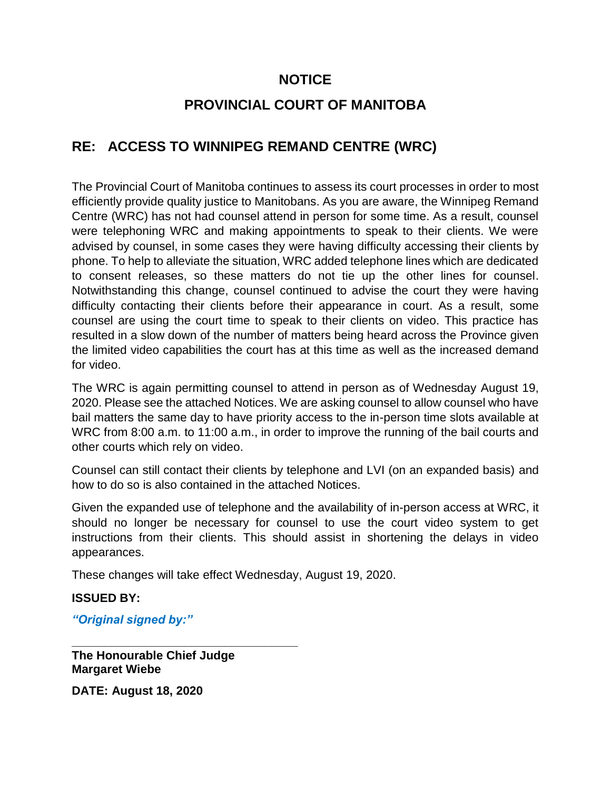## **NOTICE**

## **PROVINCIAL COURT OF MANITOBA**

# **RE: ACCESS TO WINNIPEG REMAND CENTRE (WRC)**

The Provincial Court of Manitoba continues to assess its court processes in order to most efficiently provide quality justice to Manitobans. As you are aware, the Winnipeg Remand Centre (WRC) has not had counsel attend in person for some time. As a result, counsel were telephoning WRC and making appointments to speak to their clients. We were advised by counsel, in some cases they were having difficulty accessing their clients by phone. To help to alleviate the situation, WRC added telephone lines which are dedicated to consent releases, so these matters do not tie up the other lines for counsel. Notwithstanding this change, counsel continued to advise the court they were having difficulty contacting their clients before their appearance in court. As a result, some counsel are using the court time to speak to their clients on video. This practice has resulted in a slow down of the number of matters being heard across the Province given the limited video capabilities the court has at this time as well as the increased demand for video.

The WRC is again permitting counsel to attend in person as of Wednesday August 19, 2020. Please see the attached Notices. We are asking counsel to allow counsel who have bail matters the same day to have priority access to the in-person time slots available at WRC from 8:00 a.m. to 11:00 a.m., in order to improve the running of the bail courts and other courts which rely on video.

Counsel can still contact their clients by telephone and LVI (on an expanded basis) and how to do so is also contained in the attached Notices.

Given the expanded use of telephone and the availability of in-person access at WRC, it should no longer be necessary for counsel to use the court video system to get instructions from their clients. This should assist in shortening the delays in video appearances.

These changes will take effect Wednesday, August 19, 2020.

## **ISSUED BY:**

*"Original signed by:"*

**\_\_\_\_\_\_\_\_\_\_\_\_\_\_\_\_\_\_\_\_\_\_\_\_\_\_\_\_\_\_\_\_\_\_ The Honourable Chief Judge Margaret Wiebe**

**DATE: August 18, 2020**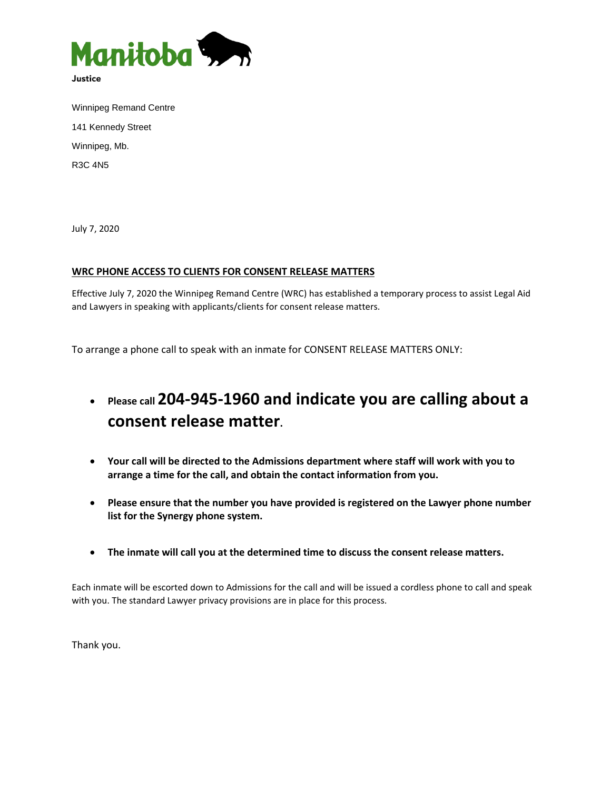

Winnipeg Remand Centre 141 Kennedy Street Winnipeg, Mb. R3C 4N5

July 7, 2020

### **WRC PHONE ACCESS TO CLIENTS FOR CONSENT RELEASE MATTERS**

Effective July 7, 2020 the Winnipeg Remand Centre (WRC) has established a temporary process to assist Legal Aid and Lawyers in speaking with applicants/clients for consent release matters.

To arrange a phone call to speak with an inmate for CONSENT RELEASE MATTERS ONLY:

- **Please call 204-945-1960 and indicate you are calling about a consent release matter.**
- **Your call will be directed to the Admissions department where staff will work with you to arrange a time for the call, and obtain the contact information from you.**
- **Please ensure that the number you have provided is registered on the Lawyer phone number list for the Synergy phone system.**
- **The inmate will call you at the determined time to discuss the consent release matters.**

Each inmate will be escorted down to Admissions for the call and will be issued a cordless phone to call and speak with you. The standard Lawyer privacy provisions are in place for this process.

Thank you.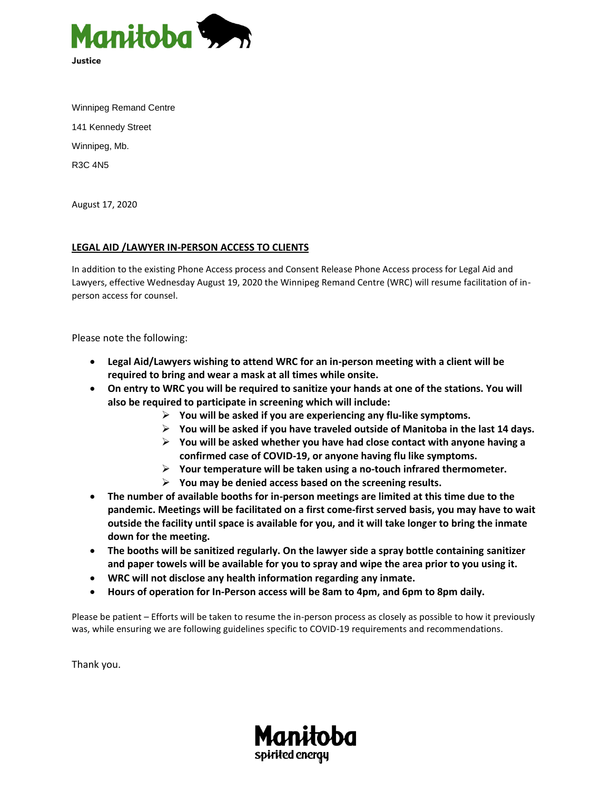

Winnipeg Remand Centre 141 Kennedy Street Winnipeg, Mb. R3C 4N5

August 17, 2020

### **LEGAL AID /LAWYER IN-PERSON ACCESS TO CLIENTS**

In addition to the existing Phone Access process and Consent Release Phone Access process for Legal Aid and Lawyers, effective Wednesday August 19, 2020 the Winnipeg Remand Centre (WRC) will resume facilitation of inperson access for counsel.

Please note the following:

- **Legal Aid/Lawyers wishing to attend WRC for an in-person meeting with a client will be required to bring and wear a mask at all times while onsite.**
- **On entry to WRC you will be required to sanitize your hands at one of the stations. You will also be required to participate in screening which will include:**
	- **You will be asked if you are experiencing any flu-like symptoms.**
	- **You will be asked if you have traveled outside of Manitoba in the last 14 days.**
	- **You will be asked whether you have had close contact with anyone having a confirmed case of COVID-19, or anyone having flu like symptoms.**
	- **Your temperature will be taken using a no-touch infrared thermometer.**
	- **You may be denied access based on the screening results.**
- **The number of available booths for in-person meetings are limited at this time due to the pandemic. Meetings will be facilitated on a first come-first served basis, you may have to wait outside the facility until space is available for you, and it will take longer to bring the inmate down for the meeting.**
- **The booths will be sanitized regularly. On the lawyer side a spray bottle containing sanitizer and paper towels will be available for you to spray and wipe the area prior to you using it.**
- **WRC will not disclose any health information regarding any inmate.**
- **Hours of operation for In-Person access will be 8am to 4pm, and 6pm to 8pm daily.**

Please be patient – Efforts will be taken to resume the in-person process as closely as possible to how it previously was, while ensuring we are following guidelines specific to COVID-19 requirements and recommendations.

Thank you.